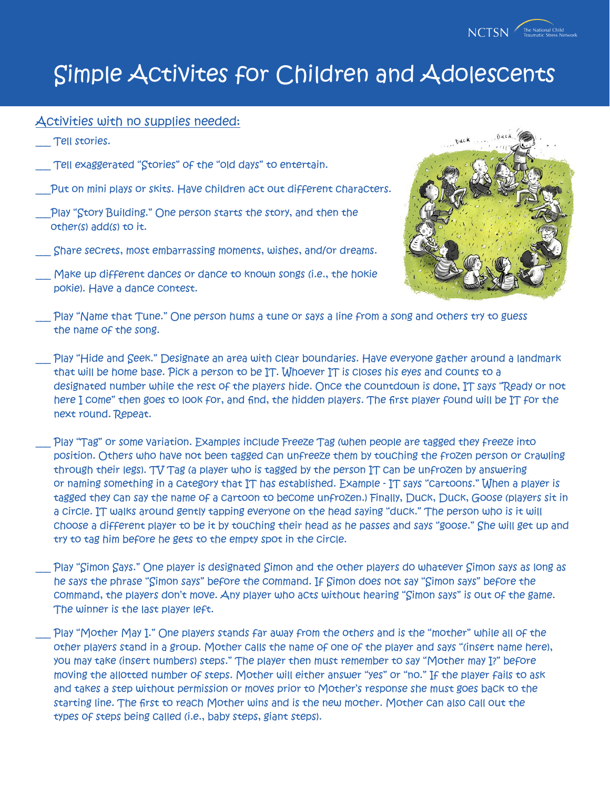

#### Activities with no supplies needed:

- Tell stories.
- Tell exaggerated "Stories" of the "old days" to entertain.
- Put on mini plays or skits. Have children act out different characters.
- Play "Story Building." One person starts the story, and then the other(s) add(s) to it.
- \_\_\_ Share secrets, most embarrassing moments, wishes, and/or dreams.
- Make up different dances or dance to known songs (i.e., the hokie pokie). Have a dance contest.



- Play "Name that Tune." One person hums a tune or says a line from a song and others try to guess the name of the song.
- Play "Hide and Seek." Designate an area with clear boundaries. Have everyone gather around a landmark that will be home base. Pick a person to be IT. Whoever IT is closes his eyes and counts to a designated number while the rest of the players hide. Once the countdown is done, IT says "Ready or not here I come" then goes to look for, and find, the hidden players. The first player found will be IT for the next round. Repeat.
- Play "Tag" or some variation. Examples include Freeze Tag (when people are tagged they freeze into position. Others who have not been tagged can unfreeze them by touching the frozen person or crawling through their legs). TV Tag (a player who is tagged by the person IT can be unfrozen by answering or naming something in a category that IT has established. Example - IT says "cartoons." When a player is tagged they can say the name of a cartoon to become unfrozen.) Finally, Duck, Duck, Goose (players sit in a circle. IT walks around gently tapping everyone on the head saying "duck." The person who is it will choose a different player to be it by touching their head as he passes and says "goose." She will get up and try to tag him before he gets to the empty spot in the circle.
- Play "Simon Says." One player is designated Simon and the other players do whatever Simon says as long as he says the phrase "Simon says" before the command. If Simon does not say "Simon says" before the command, the players don't move. Any player who acts without hearing "Simon says" is out of the game. The winner is the last player left.
- Play "Mother May I." One players stands far away from the others and is the "mother" while all of the other players stand in a group. Mother calls the name of one of the player and says "(insert name here), you may take (insert numbers) steps." The player then must remember to say "Mother may I?" before moving the allotted number of steps. Mother will either answer "yes" or "no." If the player fails to ask and takes a step without permission or moves prior to Mother's response she must goes back to the starting line. The first to reach Mother wins and is the new mother. Mother can also call out the types of steps being called (i.e., baby steps, giant steps).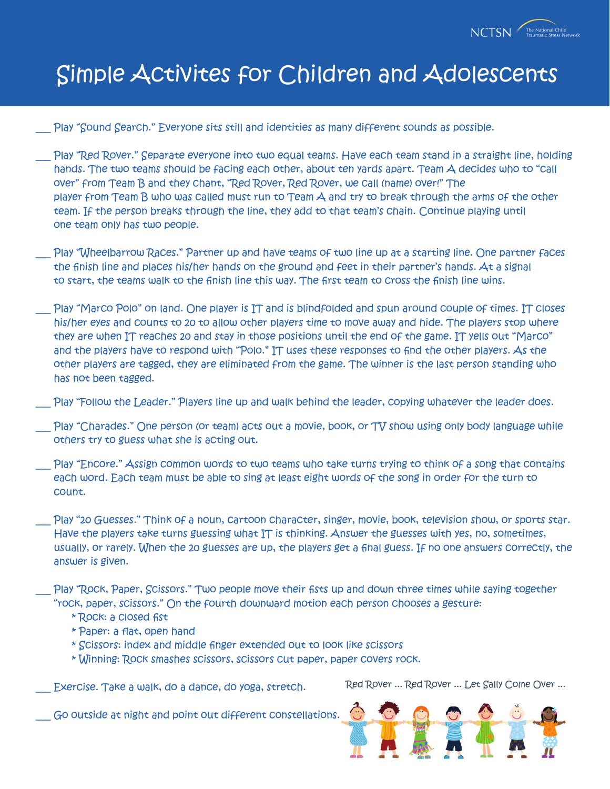

Play "Sound Search." Everyone sits still and identities as many different sounds as possible.

- Play "Red Rover." Separate everyone into two equal teams. Have each team stand in a straight line, holding hands. The two teams should be facing each other, about ten yards apart. Team A decides who to "call over" from Team B and they chant, "Red Rover, Red Rover, we call (name) over!" The player from Team B who was called must run to Team A and try to break through the arms of the other team. If the person breaks through the line, they add to that team's chain. Continue playing until one team only has two people.
- Play "Wheelbarrow Races." Partner up and have teams of two line up at a starting line. One partner faces the finish line and places his/her hands on the ground and feet in their partner's hands. At a signal to start, the teams walk to the finish line this way. The first team to cross the finish line wins.
- Play "Marco Polo" on land. One player is IT and is blindfolded and spun around couple of times. IT closes his/her eyes and counts to 20 to allow other players time to move away and hide. The players stop where they are when IT reaches 20 and stay in those positions until the end of the game. IT yells out "Marco" and the players have to respond with "Polo." IT uses these responses to find the other players. As the other players are tagged, they are eliminated from the game. The winner is the last person standing who has not been tagged.
- Play "Follow the Leader." Players line up and walk behind the leader, copying whatever the leader does.
- Play "Charades." One person (or team) acts out a movie, book, or TV show using only body language while others try to guess what she is acting out.
- Play "Encore." Assign common words to two teams who take turns trying to think of a song that contains each word. Each team must be able to sing at least eight words of the song in order for the turn to count.
- Play "20 Guesses." Think of a noun, cartoon character, singer, movie, book, television show, or sports star. Have the players take turns guessing what IT is thinking. Answer the guesses with yes, no, sometimes, usually, or rarely. When the 20 guesses are up, the players get a final guess. If no one answers correctly, the answer is given.
- Play "Rock, Paper, Scissors." Two people move their fists up and down three times while saying together "rock, paper, scissors." On the fourth downward motion each person chooses a gesture:
	- \* Rock: a closed fist
	- \* Paper: a flat, open hand
	- \* Scissors: index and middle finger extended out to look like scissors
	- \* Winning: Rock smashes scissors, scissors cut paper, paper covers rock.

Exercise. Take a walk, do a dance, do yoga, stretch.

Red Rover ... Red Rover ... Let Sally Come Over ...

Go outside at night and point out different constellations.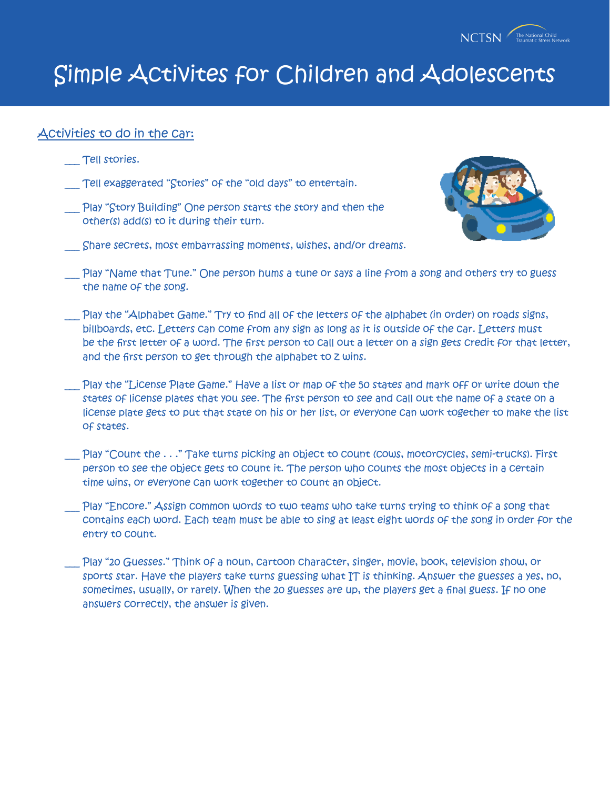

#### Activities to do in the car:

- \_\_\_ Tell stories.
- Tell exaggerated "Stories" of the "old days" to entertain.
- \_\_\_ Play "Story Building" One person starts the story and then the other(s) add(s) to it during their turn.



- \_\_\_ Share secrets, most embarrassing moments, wishes, and/or dreams.
- \_\_\_ Play "Name that Tune." One person hums a tune or says a line from a song and others try to guess the name of the song.
- \_\_\_ Play the "Alphabet Game." Try to find all of the letters of the alphabet (in order) on roads signs, billboards, etc. Letters can come from any sign as long as it is outside of the car. Letters must be the first letter of a word. The first person to call out a letter on a sign gets credit for that letter, and the first person to get through the alphabet to z wins.
- Play the "License Plate Game." Have a list or map of the 50 states and mark off or write down the states of license plates that you see. The first person to see and call out the name of a state on a license plate gets to put that state on his or her list, or everyone can work together to make the list of states.
- \_\_\_ Play "Count the . . ." Take turns picking an object to count (cows, motorcycles, semi-trucks). First person to see the object gets to count it. The person who counts the most objects in a certain time wins, or everyone can work together to count an object.
- Play "Encore." Assign common words to two teams who take turns trying to think of a song that contains each word. Each team must be able to sing at least eight words of the song in order for the entry to count.
- Play "20 Guesses." Think of a noun, cartoon character, singer, movie, book, television show, or sports star. Have the players take turns guessing what IT is thinking. Answer the guesses a yes, no, sometimes, usually, or rarely. When the 20 guesses are up, the players get a final guess. If no one answers correctly, the answer is given.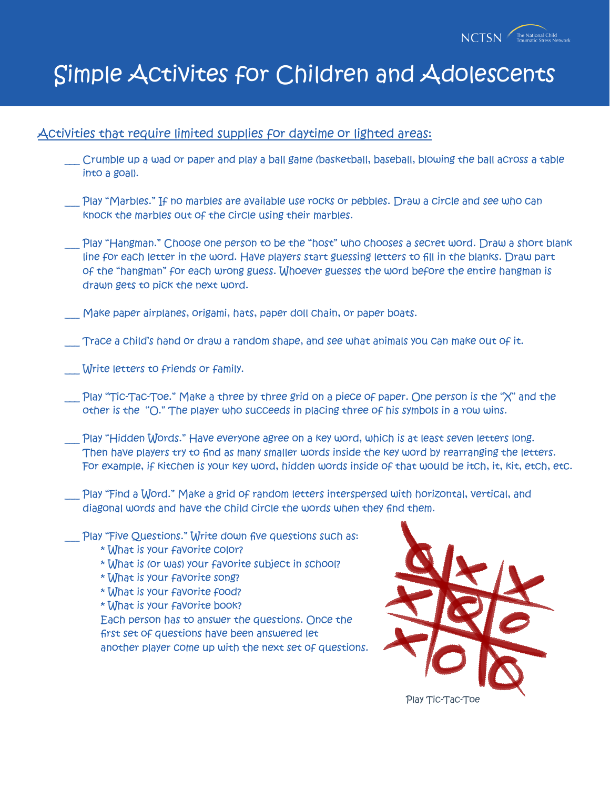

#### Activities that require limited supplies for daytime or lighted areas:

- \_\_\_ Crumble up a wad or paper and play a ball game (basketball, baseball, blowing the ball across a table into a goal).
- Play "Marbles." If no marbles are available use rocks or pebbles. Draw a circle and see who can knock the marbles out of the circle using their marbles.
- \_\_\_ Play "Hangman." Choose one person to be the "host" who chooses a secret word. Draw a short blank line for each letter in the word. Have players start guessing letters to fill in the blanks. Draw part of the "hangman" for each wrong guess. Whoever guesses the word before the entire hangman is drawn gets to pick the next word.
- Make paper airplanes, origami, hats, paper doll chain, or paper boats.
- Trace a child's hand or draw a random shape, and see what animals you can make out of it.
- Write letters to friends or family.
- Play "Tic-Tac-Toe." Make a three by three grid on a piece of paper. One person is the "X" and the other is the "O." The player who succeeds in placing three of his symbols in a row wins.
- Play "Hidden Words." Have everyone agree on a key word, which is at least seven letters long. Then have players try to find as many smaller words inside the key word by rearranging the letters. For example, if kitchen is your key word, hidden words inside of that would be itch, it, kit, etch, etc.
- \_\_\_ Play "Find a Word." Make a grid of random letters interspersed with horizontal, vertical, and diagonal words and have the child circle the words when they find them.
- $\Box$  Play "Five Questions." Write down five questions such as:
	- \* What is your favorite color?
	- \* What is (or was) your favorite subject in school?
	- \* What is your favorite song?
	- \* What is your favorite food?
	- \* What is your favorite book?

Each person has to answer the questions. Once the first set of questions have been answered let another player come up with the next set of questions.

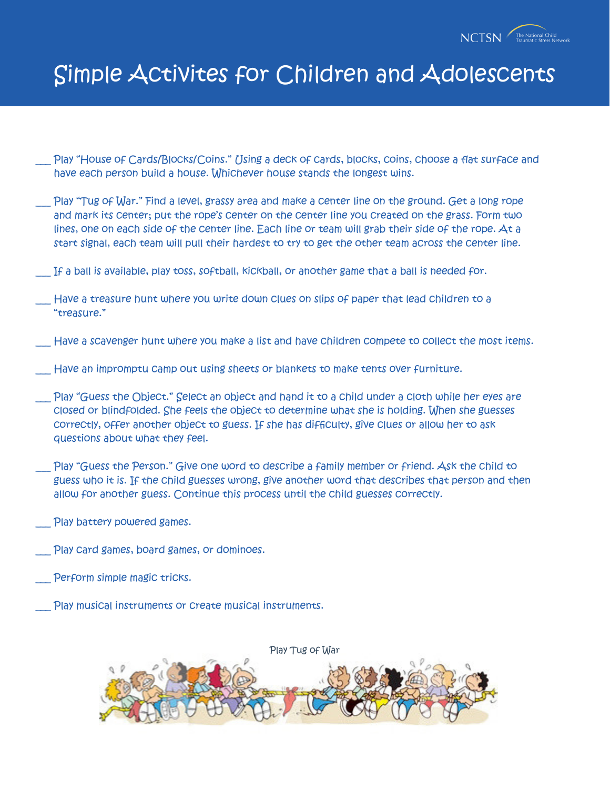

- Play "House of Cards/Blocks/Coins." Using a deck of cards, blocks, coins, choose a flat surface and have each person build a house. Whichever house stands the longest wins.
- Play "Tug of War." Find a level, grassy area and make a center line on the ground. Get a long rope and mark its center; put the rope's center on the center line you created on the grass. Form two lines, one on each side of the center line. Each line or team will grab their side of the rope. At a start signal, each team will pull their hardest to try to get the other team across the center line.
- If a ball is available, play toss, softball, kickball, or another game that a ball is needed for.
- Have a treasure hunt where you write down clues on slips of paper that lead children to a "treasure."
- Have a scavenger hunt where you make a list and have children compete to collect the most items.
- Have an impromptu camp out using sheets or blankets to make tents over furniture.
- Play "Guess the Object." Select an object and hand it to a child under a cloth while her eyes are closed or blindfolded. She feels the object to determine what she is holding. When she guesses correctly, offer another object to guess. If she has difficulty, give clues or allow her to ask questions about what they feel.
- Play "Guess the Person." Give one word to describe a family member or friend. Ask the child to guess who it is. If the child guesses wrong, give another word that describes that person and then allow for another guess. Continue this process until the child guesses correctly.
- Play battery powered games.
- Play card games, board games, or dominoes.
- Perform simple magic tricks.
- Play musical instruments or create musical instruments.

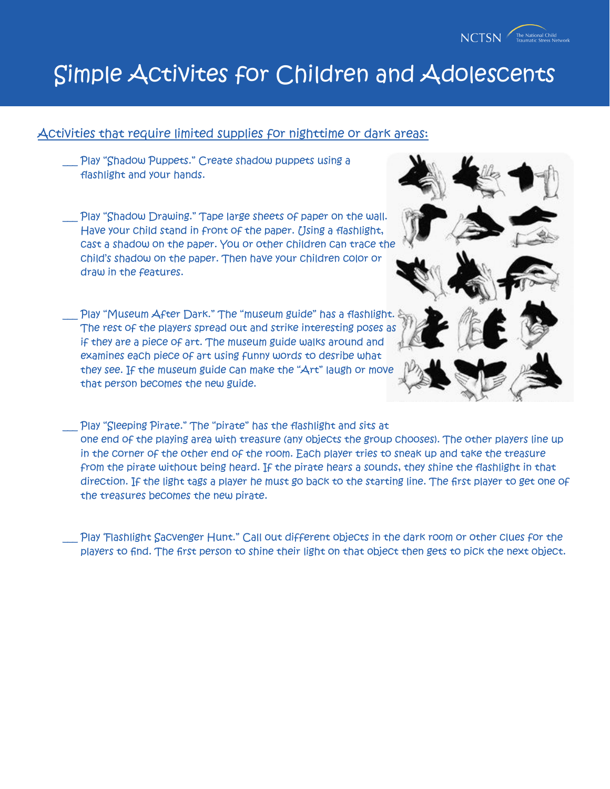

### Activities that require limited supplies for nighttime or dark areas:

- \_\_\_ Play "Shadow Puppets." Create shadow puppets using a flashlight and your hands.
- Play "Shadow Drawing." Tape large sheets of paper on the wall. Have your child stand in front of the paper. Using a flashlight, cast a shadow on the paper. You or other children can trace the child's shadow on the paper. Then have your children color or draw in the features.
- Play "Museum After Dark." The "museum guide" has a flashlight. The rest of the players spread out and strike interesting poses as if they are a piece of art. The museum guide walks around and examines each piece of art using funny words to desribe what they see. If the museum guide can make the "Art" laugh or move that person becomes the new guide.
- 
- Play "Sleeping Pirate." The "pirate" has the flashlight and sits at one end of the playing area with treasure (any objects the group chooses). The other players line up in the corner of the other end of the room. Each player tries to sneak up and take the treasure from the pirate without being heard. If the pirate hears a sounds, they shine the flashlight in that direction. If the light tags a player he must go back to the starting line. The first player to get one of the treasures becomes the new pirate.
- Play 'Flashlight Sacvenger Hunt." Call out different objects in the dark room or other clues for the players to find. The first person to shine their light on that object then gets to pick the next object.